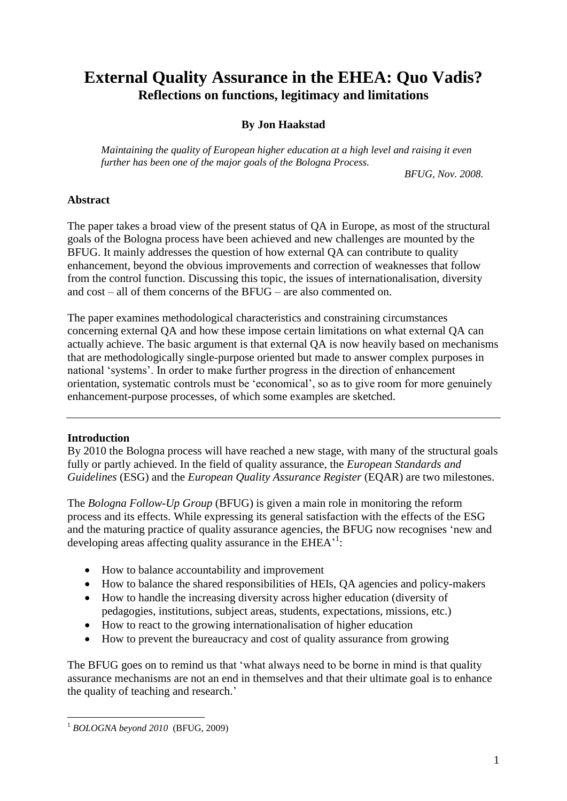# **External Quality Assurance in the EHEA: Quo Vadis? Reflections on functions, legitimacy and limitations**

# **By Jon Haakstad**

*Maintaining the quality of European higher education at a high level and raising it even further has been one of the major goals of the Bologna Process.*

*BFUG, Nov. 2008.*

# **Abstract**

The paper takes a broad view of the present status of QA in Europe, as most of the structural goals of the Bologna process have been achieved and new challenges are mounted by the BFUG. It mainly addresses the question of how external QA can contribute to quality enhancement, beyond the obvious improvements and correction of weaknesses that follow from the control function. Discussing this topic, the issues of internationalisation, diversity and cost – all of them concerns of the BFUG – are also commented on.

The paper examines methodological characteristics and constraining circumstances concerning external QA and how these impose certain limitations on what external QA can actually achieve. The basic argument is that external QA is now heavily based on mechanisms that are methodologically single-purpose oriented but made to answer complex purposes in national 'systems'. In order to make further progress in the direction of enhancement orientation, systematic controls must be 'economical', so as to give room for more genuinely enhancement-purpose processes, of which some examples are sketched.

# **Introduction**

By 2010 the Bologna process will have reached a new stage, with many of the structural goals fully or partly achieved. In the field of quality assurance, the *European Standards and Guidelines* (ESG) and the *European Quality Assurance Register* (EQAR) are two milestones.

The *Bologna Follow-Up Group* (BFUG) is given a main role in monitoring the reform process and its effects. While expressing its general satisfaction with the effects of the ESG and the maturing practice of quality assurance agencies, the BFUG now recognises 'new and developing areas affecting quality assurance in the EHEA<sup>-1</sup>:

- How to balance accountability and improvement
- How to balance the shared responsibilities of HEIs, QA agencies and policy-makers
- How to handle the increasing diversity across higher education (diversity of pedagogies, institutions, subject areas, students, expectations, missions, etc.)
- How to react to the growing internationalisation of higher education
- How to prevent the bureaucracy and cost of quality assurance from growing

The BFUG goes on to remind us that 'what always need to be borne in mind is that quality assurance mechanisms are not an end in themselves and that their ultimate goal is to enhance the quality of teaching and research.'

<sup>1</sup> <sup>1</sup> *BOLOGNA beyond 2010* (BFUG, 2009)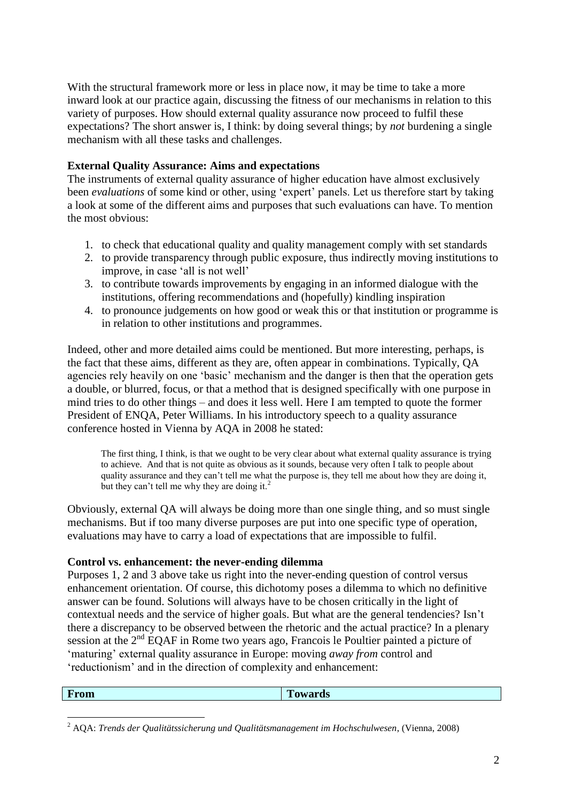With the structural framework more or less in place now, it may be time to take a more inward look at our practice again, discussing the fitness of our mechanisms in relation to this variety of purposes. How should external quality assurance now proceed to fulfil these expectations? The short answer is, I think: by doing several things; by *not* burdening a single mechanism with all these tasks and challenges.

# **External Quality Assurance: Aims and expectations**

The instruments of external quality assurance of higher education have almost exclusively been *evaluations* of some kind or other, using 'expert' panels. Let us therefore start by taking a look at some of the different aims and purposes that such evaluations can have. To mention the most obvious:

- 1. to check that educational quality and quality management comply with set standards
- 2. to provide transparency through public exposure, thus indirectly moving institutions to improve, in case 'all is not well'
- 3. to contribute towards improvements by engaging in an informed dialogue with the institutions, offering recommendations and (hopefully) kindling inspiration
- 4. to pronounce judgements on how good or weak this or that institution or programme is in relation to other institutions and programmes.

Indeed, other and more detailed aims could be mentioned. But more interesting, perhaps, is the fact that these aims, different as they are, often appear in combinations. Typically, QA agencies rely heavily on one 'basic' mechanism and the danger is then that the operation gets a double, or blurred, focus, or that a method that is designed specifically with one purpose in mind tries to do other things – and does it less well. Here I am tempted to quote the former President of ENQA, Peter Williams. In his introductory speech to a quality assurance conference hosted in Vienna by AQA in 2008 he stated:

The first thing, I think, is that we ought to be very clear about what external quality assurance is trying to achieve. And that is not quite as obvious as it sounds, because very often I talk to people about quality assurance and they can't tell me what the purpose is, they tell me about how they are doing it, but they can't tell me why they are doing it.<sup>2</sup>

Obviously, external QA will always be doing more than one single thing, and so must single mechanisms. But if too many diverse purposes are put into one specific type of operation, evaluations may have to carry a load of expectations that are impossible to fulfil.

#### **Control vs. enhancement: the never-ending dilemma**

1

Purposes 1, 2 and 3 above take us right into the never-ending question of control versus enhancement orientation. Of course, this dichotomy poses a dilemma to which no definitive answer can be found. Solutions will always have to be chosen critically in the light of contextual needs and the service of higher goals. But what are the general tendencies? Isn't there a discrepancy to be observed between the rhetoric and the actual practice? In a plenary session at the 2<sup>nd</sup> EQAF in Rome two years ago, Francois le Poultier painted a picture of 'maturing' external quality assurance in Europe: moving *away from* control and 'reductionism' and in the direction of complexity and enhancement:

| From | <b>TEMPO</b><br><b>Cowards</b> |
|------|--------------------------------|
|      |                                |

<sup>2</sup> AQA: *Trends der Qualitätssicherung und Qualitätsmanagement im Hochschulwesen*, (Vienna, 2008)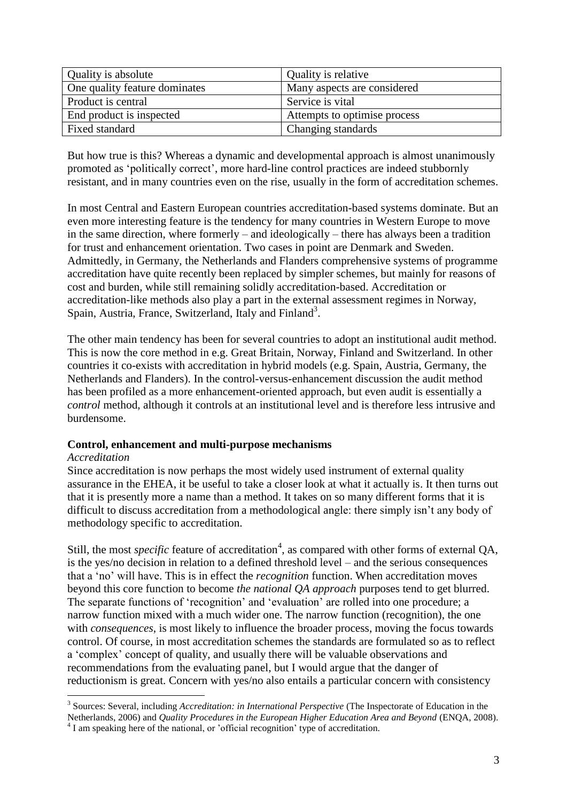| Quality is absolute           | Quality is relative          |
|-------------------------------|------------------------------|
| One quality feature dominates | Many aspects are considered  |
| Product is central            | Service is vital             |
| End product is inspected      | Attempts to optimise process |
| Fixed standard                | Changing standards           |

But how true is this? Whereas a dynamic and developmental approach is almost unanimously promoted as 'politically correct', more hard-line control practices are indeed stubbornly resistant, and in many countries even on the rise, usually in the form of accreditation schemes.

In most Central and Eastern European countries accreditation-based systems dominate. But an even more interesting feature is the tendency for many countries in Western Europe to move in the same direction, where formerly – and ideologically – there has always been a tradition for trust and enhancement orientation. Two cases in point are Denmark and Sweden. Admittedly, in Germany, the Netherlands and Flanders comprehensive systems of programme accreditation have quite recently been replaced by simpler schemes, but mainly for reasons of cost and burden, while still remaining solidly accreditation-based. Accreditation or accreditation-like methods also play a part in the external assessment regimes in Norway, Spain, Austria, France, Switzerland, Italy and Finland<sup>3</sup>.

The other main tendency has been for several countries to adopt an institutional audit method. This is now the core method in e.g. Great Britain, Norway, Finland and Switzerland. In other countries it co-exists with accreditation in hybrid models (e.g. Spain, Austria, Germany, the Netherlands and Flanders). In the control-versus-enhancement discussion the audit method has been profiled as a more enhancement-oriented approach, but even audit is essentially a *control* method, although it controls at an institutional level and is therefore less intrusive and burdensome.

#### **Control, enhancement and multi-purpose mechanisms**

#### *Accreditation*

1

Since accreditation is now perhaps the most widely used instrument of external quality assurance in the EHEA, it be useful to take a closer look at what it actually is. It then turns out that it is presently more a name than a method. It takes on so many different forms that it is difficult to discuss accreditation from a methodological angle: there simply isn't any body of methodology specific to accreditation.

Still, the most *specific* feature of accreditation<sup>4</sup>, as compared with other forms of external QA, is the yes/no decision in relation to a defined threshold level – and the serious consequences that a 'no' will have. This is in effect the *recognition* function. When accreditation moves beyond this core function to become *the national QA approach* purposes tend to get blurred. The separate functions of 'recognition' and 'evaluation' are rolled into one procedure; a narrow function mixed with a much wider one. The narrow function (recognition), the one with *consequences*, is most likely to influence the broader process, moving the focus towards control. Of course, in most accreditation schemes the standards are formulated so as to reflect a 'complex' concept of quality, and usually there will be valuable observations and recommendations from the evaluating panel, but I would argue that the danger of reductionism is great. Concern with yes/no also entails a particular concern with consistency

<sup>&</sup>lt;sup>3</sup> Sources: Several, including *Accreditation: in International Perspective* (The Inspectorate of Education in the

Netherlands, 2006) and *Quality Procedures in the European Higher Education Area and Beyond* (ENQA, 2008). <sup>4</sup> I am speaking here of the national, or 'official recognition' type of accreditation.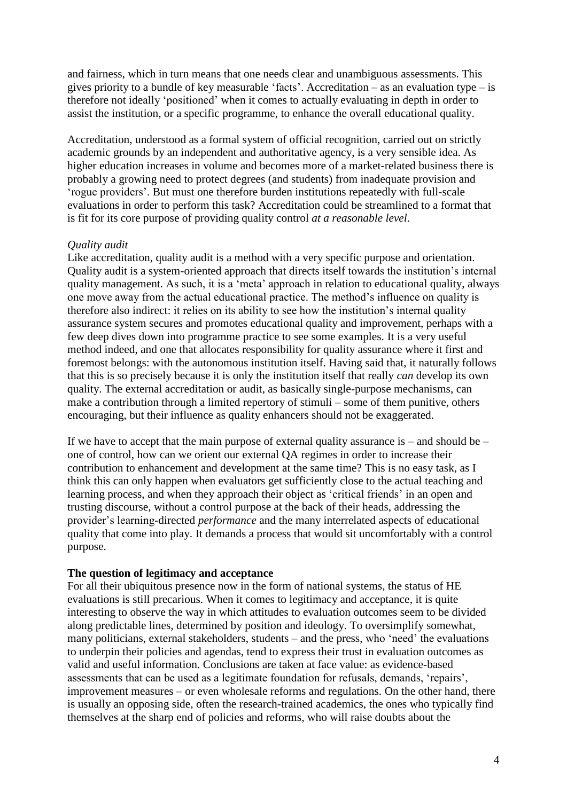and fairness, which in turn means that one needs clear and unambiguous assessments. This gives priority to a bundle of key measurable 'facts'. Accreditation – as an evaluation type – is therefore not ideally 'positioned' when it comes to actually evaluating in depth in order to assist the institution, or a specific programme, to enhance the overall educational quality.

Accreditation, understood as a formal system of official recognition, carried out on strictly academic grounds by an independent and authoritative agency, is a very sensible idea. As higher education increases in volume and becomes more of a market-related business there is probably a growing need to protect degrees (and students) from inadequate provision and 'rogue providers'. But must one therefore burden institutions repeatedly with full-scale evaluations in order to perform this task? Accreditation could be streamlined to a format that is fit for its core purpose of providing quality control *at a reasonable level*.

## *Quality audit*

Like accreditation, quality audit is a method with a very specific purpose and orientation. Quality audit is a system-oriented approach that directs itself towards the institution's internal quality management. As such, it is a 'meta' approach in relation to educational quality, always one move away from the actual educational practice. The method's influence on quality is therefore also indirect: it relies on its ability to see how the institution's internal quality assurance system secures and promotes educational quality and improvement, perhaps with a few deep dives down into programme practice to see some examples. It is a very useful method indeed, and one that allocates responsibility for quality assurance where it first and foremost belongs: with the autonomous institution itself. Having said that, it naturally follows that this is so precisely because it is only the institution itself that really *can* develop its own quality. The external accreditation or audit, as basically single-purpose mechanisms, can make a contribution through a limited repertory of stimuli – some of them punitive, others encouraging, but their influence as quality enhancers should not be exaggerated.

If we have to accept that the main purpose of external quality assurance is – and should be – one of control, how can we orient our external QA regimes in order to increase their contribution to enhancement and development at the same time? This is no easy task, as I think this can only happen when evaluators get sufficiently close to the actual teaching and learning process, and when they approach their object as 'critical friends' in an open and trusting discourse, without a control purpose at the back of their heads, addressing the provider's learning-directed *performance* and the many interrelated aspects of educational quality that come into play. It demands a process that would sit uncomfortably with a control purpose.

#### **The question of legitimacy and acceptance**

For all their ubiquitous presence now in the form of national systems, the status of HE evaluations is still precarious. When it comes to legitimacy and acceptance, it is quite interesting to observe the way in which attitudes to evaluation outcomes seem to be divided along predictable lines, determined by position and ideology. To oversimplify somewhat, many politicians, external stakeholders, students – and the press, who 'need' the evaluations to underpin their policies and agendas, tend to express their trust in evaluation outcomes as valid and useful information. Conclusions are taken at face value: as evidence-based assessments that can be used as a legitimate foundation for refusals, demands, 'repairs', improvement measures – or even wholesale reforms and regulations. On the other hand, there is usually an opposing side, often the research-trained academics, the ones who typically find themselves at the sharp end of policies and reforms, who will raise doubts about the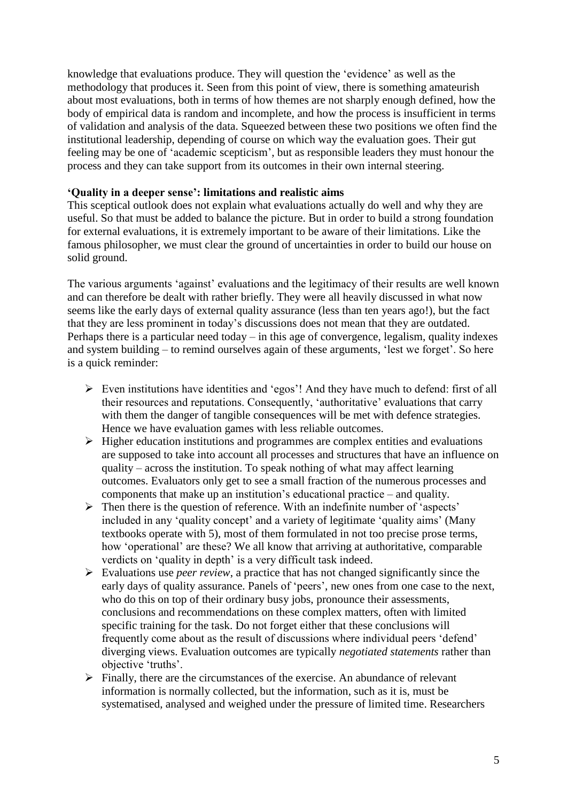knowledge that evaluations produce. They will question the 'evidence' as well as the methodology that produces it. Seen from this point of view, there is something amateurish about most evaluations, both in terms of how themes are not sharply enough defined, how the body of empirical data is random and incomplete, and how the process is insufficient in terms of validation and analysis of the data. Squeezed between these two positions we often find the institutional leadership, depending of course on which way the evaluation goes. Their gut feeling may be one of 'academic scepticism', but as responsible leaders they must honour the process and they can take support from its outcomes in their own internal steering.

#### **'Quality in a deeper sense': limitations and realistic aims**

This sceptical outlook does not explain what evaluations actually do well and why they are useful. So that must be added to balance the picture. But in order to build a strong foundation for external evaluations, it is extremely important to be aware of their limitations. Like the famous philosopher, we must clear the ground of uncertainties in order to build our house on solid ground.

The various arguments 'against' evaluations and the legitimacy of their results are well known and can therefore be dealt with rather briefly. They were all heavily discussed in what now seems like the early days of external quality assurance (less than ten years ago!), but the fact that they are less prominent in today's discussions does not mean that they are outdated. Perhaps there is a particular need today – in this age of convergence, legalism, quality indexes and system building – to remind ourselves again of these arguments, 'lest we forget'. So here is a quick reminder:

- Even institutions have identities and 'egos'! And they have much to defend: first of all their resources and reputations. Consequently, 'authoritative' evaluations that carry with them the danger of tangible consequences will be met with defence strategies. Hence we have evaluation games with less reliable outcomes.
- $\triangleright$  Higher education institutions and programmes are complex entities and evaluations are supposed to take into account all processes and structures that have an influence on quality – across the institution. To speak nothing of what may affect learning outcomes. Evaluators only get to see a small fraction of the numerous processes and components that make up an institution's educational practice – and quality.
- $\triangleright$  Then there is the question of reference. With an indefinite number of 'aspects' included in any 'quality concept' and a variety of legitimate 'quality aims' (Many textbooks operate with 5), most of them formulated in not too precise prose terms, how 'operational' are these? We all know that arriving at authoritative, comparable verdicts on 'quality in depth' is a very difficult task indeed.
- Evaluations use *peer review*, a practice that has not changed significantly since the early days of quality assurance. Panels of 'peers', new ones from one case to the next, who do this on top of their ordinary busy jobs, pronounce their assessments, conclusions and recommendations on these complex matters, often with limited specific training for the task. Do not forget either that these conclusions will frequently come about as the result of discussions where individual peers 'defend' diverging views. Evaluation outcomes are typically *negotiated statements* rather than objective 'truths'.
- $\triangleright$  Finally, there are the circumstances of the exercise. An abundance of relevant information is normally collected, but the information, such as it is, must be systematised, analysed and weighed under the pressure of limited time. Researchers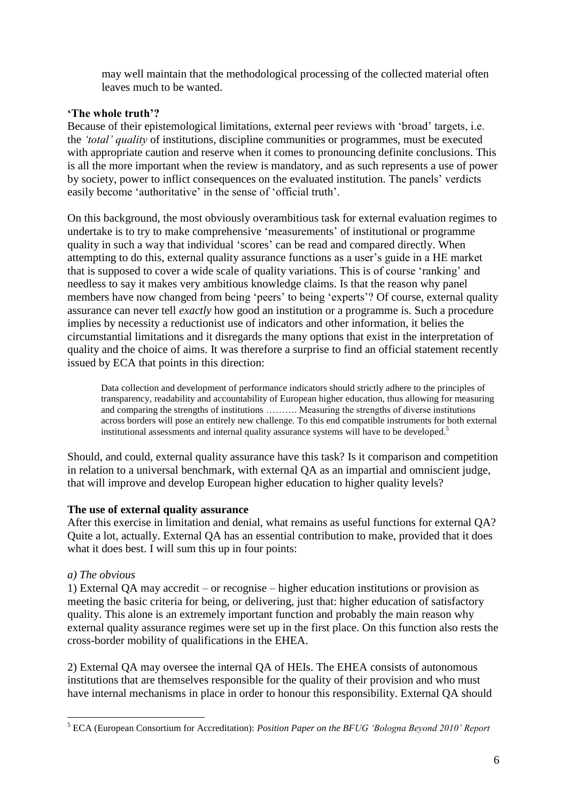may well maintain that the methodological processing of the collected material often leaves much to be wanted.

# **'The whole truth'?**

Because of their epistemological limitations, external peer reviews with 'broad' targets, i.e. the *'total' quality* of institutions, discipline communities or programmes, must be executed with appropriate caution and reserve when it comes to pronouncing definite conclusions. This is all the more important when the review is mandatory, and as such represents a use of power by society, power to inflict consequences on the evaluated institution. The panels' verdicts easily become 'authoritative' in the sense of 'official truth'.

On this background, the most obviously overambitious task for external evaluation regimes to undertake is to try to make comprehensive 'measurements' of institutional or programme quality in such a way that individual 'scores' can be read and compared directly. When attempting to do this, external quality assurance functions as a user's guide in a HE market that is supposed to cover a wide scale of quality variations. This is of course 'ranking' and needless to say it makes very ambitious knowledge claims. Is that the reason why panel members have now changed from being 'peers' to being 'experts'? Of course, external quality assurance can never tell *exactly* how good an institution or a programme is. Such a procedure implies by necessity a reductionist use of indicators and other information, it belies the circumstantial limitations and it disregards the many options that exist in the interpretation of quality and the choice of aims. It was therefore a surprise to find an official statement recently issued by ECA that points in this direction:

Data collection and development of performance indicators should strictly adhere to the principles of transparency, readability and accountability of European higher education, thus allowing for measuring and comparing the strengths of institutions ………. Measuring the strengths of diverse institutions across borders will pose an entirely new challenge. To this end compatible instruments for both external institutional assessments and internal quality assurance systems will have to be developed.<sup>5</sup>

Should, and could, external quality assurance have this task? Is it comparison and competition in relation to a universal benchmark, with external QA as an impartial and omniscient judge, that will improve and develop European higher education to higher quality levels?

#### **The use of external quality assurance**

After this exercise in limitation and denial, what remains as useful functions for external QA? Quite a lot, actually. External QA has an essential contribution to make, provided that it does what it does best. I will sum this up in four points:

#### *a) The obvious*

1) External QA may accredit – or recognise – higher education institutions or provision as meeting the basic criteria for being, or delivering, just that: higher education of satisfactory quality. This alone is an extremely important function and probably the main reason why external quality assurance regimes were set up in the first place. On this function also rests the cross-border mobility of qualifications in the EHEA.

2) External QA may oversee the internal QA of HEIs. The EHEA consists of autonomous institutions that are themselves responsible for the quality of their provision and who must have internal mechanisms in place in order to honour this responsibility. External QA should

<sup>1</sup> <sup>5</sup> ECA (European Consortium for Accreditation): *Position Paper on the BFUG 'Bologna Beyond 2010' Report*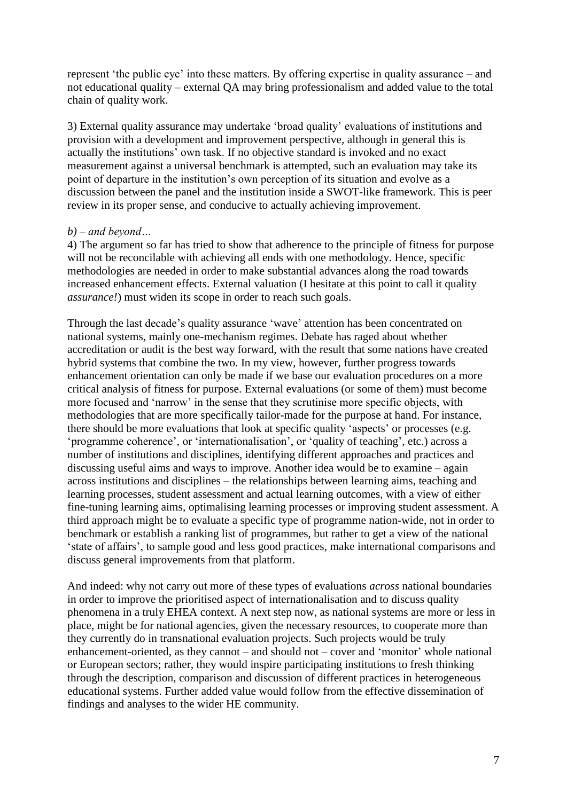represent 'the public eye' into these matters. By offering expertise in quality assurance – and not educational quality – external QA may bring professionalism and added value to the total chain of quality work.

3) External quality assurance may undertake 'broad quality' evaluations of institutions and provision with a development and improvement perspective, although in general this is actually the institutions' own task. If no objective standard is invoked and no exact measurement against a universal benchmark is attempted, such an evaluation may take its point of departure in the institution's own perception of its situation and evolve as a discussion between the panel and the institution inside a SWOT-like framework. This is peer review in its proper sense, and conducive to actually achieving improvement.

## *b) – and beyond…*

4) The argument so far has tried to show that adherence to the principle of fitness for purpose will not be reconcilable with achieving all ends with one methodology. Hence, specific methodologies are needed in order to make substantial advances along the road towards increased enhancement effects. External valuation (I hesitate at this point to call it quality *assurance!*) must widen its scope in order to reach such goals.

Through the last decade's quality assurance 'wave' attention has been concentrated on national systems, mainly one-mechanism regimes. Debate has raged about whether accreditation or audit is the best way forward, with the result that some nations have created hybrid systems that combine the two. In my view, however, further progress towards enhancement orientation can only be made if we base our evaluation procedures on a more critical analysis of fitness for purpose. External evaluations (or some of them) must become more focused and 'narrow' in the sense that they scrutinise more specific objects, with methodologies that are more specifically tailor-made for the purpose at hand. For instance, there should be more evaluations that look at specific quality 'aspects' or processes (e.g. 'programme coherence', or 'internationalisation', or 'quality of teaching', etc.) across a number of institutions and disciplines, identifying different approaches and practices and discussing useful aims and ways to improve. Another idea would be to examine – again across institutions and disciplines – the relationships between learning aims, teaching and learning processes, student assessment and actual learning outcomes, with a view of either fine-tuning learning aims, optimalising learning processes or improving student assessment. A third approach might be to evaluate a specific type of programme nation-wide, not in order to benchmark or establish a ranking list of programmes, but rather to get a view of the national 'state of affairs', to sample good and less good practices, make international comparisons and discuss general improvements from that platform.

And indeed: why not carry out more of these types of evaluations *across* national boundaries in order to improve the prioritised aspect of internationalisation and to discuss quality phenomena in a truly EHEA context. A next step now, as national systems are more or less in place, might be for national agencies, given the necessary resources, to cooperate more than they currently do in transnational evaluation projects. Such projects would be truly enhancement-oriented, as they cannot – and should not – cover and 'monitor' whole national or European sectors; rather, they would inspire participating institutions to fresh thinking through the description, comparison and discussion of different practices in heterogeneous educational systems. Further added value would follow from the effective dissemination of findings and analyses to the wider HE community.